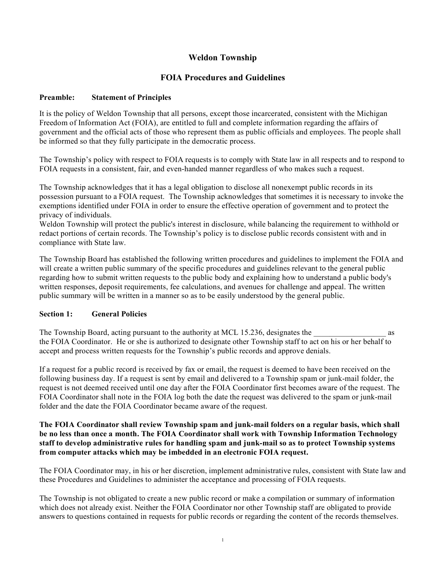# **Weldon Township**

# **FOIA Procedures and Guidelines**

#### **Preamble: Statement of Principles**

It is the policy of Weldon Township that all persons, except those incarcerated, consistent with the Michigan Freedom of Information Act (FOIA), are entitled to full and complete information regarding the affairs of government and the official acts of those who represent them as public officials and employees. The people shall be informed so that they fully participate in the democratic process.

The Township's policy with respect to FOIA requests is to comply with State law in all respects and to respond to FOIA requests in a consistent, fair, and even-handed manner regardless of who makes such a request.

The Township acknowledges that it has a legal obligation to disclose all nonexempt public records in its possession pursuant to a FOIA request. The Township acknowledges that sometimes it is necessary to invoke the exemptions identified under FOIA in order to ensure the effective operation of government and to protect the privacy of individuals.

Weldon Township will protect the public's interest in disclosure, while balancing the requirement to withhold or redact portions of certain records. The Township's policy is to disclose public records consistent with and in compliance with State law.

The Township Board has established the following written procedures and guidelines to implement the FOIA and will create a written public summary of the specific procedures and guidelines relevant to the general public regarding how to submit written requests to the public body and explaining how to understand a public body's written responses, deposit requirements, fee calculations, and avenues for challenge and appeal. The written public summary will be written in a manner so as to be easily understood by the general public.

#### **Section 1: General Policies**

The Township Board, acting pursuant to the authority at MCL 15.236, designates the  $\alpha$ the FOIA Coordinator. He or she is authorized to designate other Township staff to act on his or her behalf to accept and process written requests for the Township's public records and approve denials.

If a request for a public record is received by fax or email, the request is deemed to have been received on the following business day. If a request is sent by email and delivered to a Township spam or junk-mail folder, the request is not deemed received until one day after the FOIA Coordinator first becomes aware of the request. The FOIA Coordinator shall note in the FOIA log both the date the request was delivered to the spam or junk-mail folder and the date the FOIA Coordinator became aware of the request.

### **The FOIA Coordinator shall review Township spam and junk-mail folders on a regular basis, which shall be no less than once a month. The FOIA Coordinator shall work with Township Information Technology staff to develop administrative rules for handling spam and junk-mail so as to protect Township systems from computer attacks which may be imbedded in an electronic FOIA request.**

The FOIA Coordinator may, in his or her discretion, implement administrative rules, consistent with State law and these Procedures and Guidelines to administer the acceptance and processing of FOIA requests.

The Township is not obligated to create a new public record or make a compilation or summary of information which does not already exist. Neither the FOIA Coordinator nor other Township staff are obligated to provide answers to questions contained in requests for public records or regarding the content of the records themselves.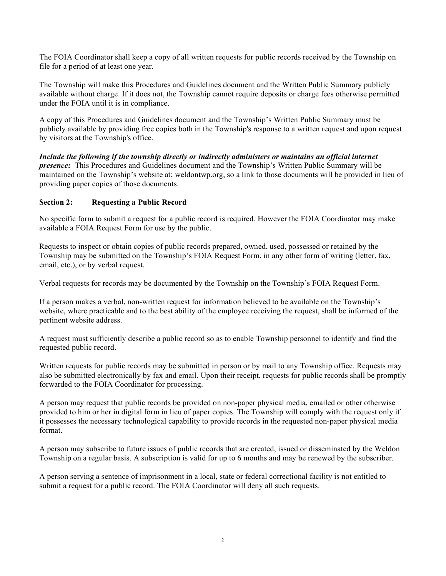The FOIA Coordinator shall keep a copy of all written requests for public records received by the Township on file for a period of at least one year.

The Township will make this Procedures and Guidelines document and the Written Public Summary publicly available without charge. If it does not, the Township cannot require deposits or charge fees otherwise permitted under the FOIA until it is in compliance.

A copy of this Procedures and Guidelines document and the Township's Written Public Summary must be publicly available by providing free copies both in the Township's response to a written request and upon request by visitors at the Township's office.

*Include the following if the township directly or indirectly administers or maintains an official internet presence:* This Procedures and Guidelines document and the Township's Written Public Summary will be maintained on the Township's website at: weldontwp.org, so a link to those documents will be provided in lieu of providing paper copies of those documents.

## **Section 2: Requesting a Public Record**

No specific form to submit a request for a public record is required. However the FOIA Coordinator may make available a FOIA Request Form for use by the public.

Requests to inspect or obtain copies of public records prepared, owned, used, possessed or retained by the Township may be submitted on the Township's FOIA Request Form, in any other form of writing (letter, fax, email, etc.), or by verbal request.

Verbal requests for records may be documented by the Township on the Township's FOIA Request Form.

If a person makes a verbal, non-written request for information believed to be available on the Township's website, where practicable and to the best ability of the employee receiving the request, shall be informed of the pertinent website address.

A request must sufficiently describe a public record so as to enable Township personnel to identify and find the requested public record.

Written requests for public records may be submitted in person or by mail to any Township office. Requests may also be submitted electronically by fax and email. Upon their receipt, requests for public records shall be promptly forwarded to the FOIA Coordinator for processing.

A person may request that public records be provided on non-paper physical media, emailed or other otherwise provided to him or her in digital form in lieu of paper copies. The Township will comply with the request only if it possesses the necessary technological capability to provide records in the requested non-paper physical media format.

A person may subscribe to future issues of public records that are created, issued or disseminated by the Weldon Township on a regular basis. A subscription is valid for up to 6 months and may be renewed by the subscriber.

A person serving a sentence of imprisonment in a local, state or federal correctional facility is not entitled to submit a request for a public record. The FOIA Coordinator will deny all such requests.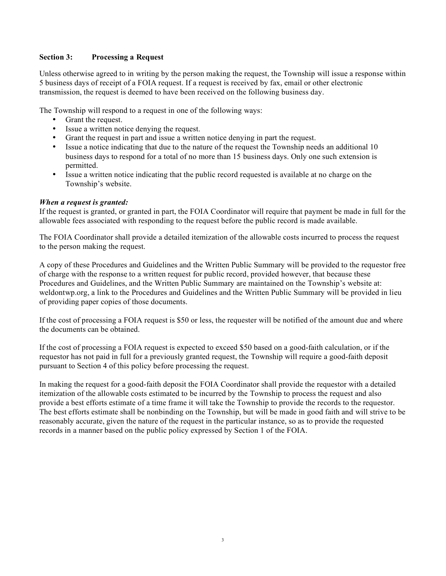### **Section 3: Processing a Request**

Unless otherwise agreed to in writing by the person making the request, the Township will issue a response within 5 business days of receipt of a FOIA request. If a request is received by fax, email or other electronic transmission, the request is deemed to have been received on the following business day.

The Township will respond to a request in one of the following ways:

- Grant the request.
- Issue a written notice denying the request.
- Grant the request in part and issue a written notice denying in part the request.
- Issue a notice indicating that due to the nature of the request the Township needs an additional 10 business days to respond for a total of no more than 15 business days. Only one such extension is permitted.
- Issue a written notice indicating that the public record requested is available at no charge on the Township's website.

#### *When a request is granted:*

If the request is granted, or granted in part, the FOIA Coordinator will require that payment be made in full for the allowable fees associated with responding to the request before the public record is made available.

The FOIA Coordinator shall provide a detailed itemization of the allowable costs incurred to process the request to the person making the request.

A copy of these Procedures and Guidelines and the Written Public Summary will be provided to the requestor free of charge with the response to a written request for public record, provided however, that because these Procedures and Guidelines, and the Written Public Summary are maintained on the Township's website at: weldontwp.org, a link to the Procedures and Guidelines and the Written Public Summary will be provided in lieu of providing paper copies of those documents.

If the cost of processing a FOIA request is \$50 or less, the requester will be notified of the amount due and where the documents can be obtained.

If the cost of processing a FOIA request is expected to exceed \$50 based on a good-faith calculation, or if the requestor has not paid in full for a previously granted request, the Township will require a good-faith deposit pursuant to Section 4 of this policy before processing the request.

In making the request for a good-faith deposit the FOIA Coordinator shall provide the requestor with a detailed itemization of the allowable costs estimated to be incurred by the Township to process the request and also provide a best efforts estimate of a time frame it will take the Township to provide the records to the requestor. The best efforts estimate shall be nonbinding on the Township, but will be made in good faith and will strive to be reasonably accurate, given the nature of the request in the particular instance, so as to provide the requested records in a manner based on the public policy expressed by Section 1 of the FOIA.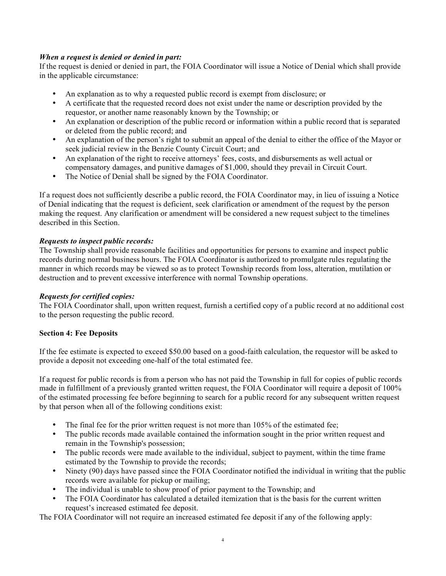## *When a request is denied or denied in part:*

If the request is denied or denied in part, the FOIA Coordinator will issue a Notice of Denial which shall provide in the applicable circumstance:

- An explanation as to why a requested public record is exempt from disclosure; or
- A certificate that the requested record does not exist under the name or description provided by the requestor, or another name reasonably known by the Township; or
- An explanation or description of the public record or information within a public record that is separated or deleted from the public record; and
- An explanation of the person's right to submit an appeal of the denial to either the office of the Mayor or seek judicial review in the Benzie County Circuit Court; and
- An explanation of the right to receive attorneys' fees, costs, and disbursements as well actual or compensatory damages, and punitive damages of \$1,000, should they prevail in Circuit Court.
- The Notice of Denial shall be signed by the FOIA Coordinator.

If a request does not sufficiently describe a public record, the FOIA Coordinator may, in lieu of issuing a Notice of Denial indicating that the request is deficient, seek clarification or amendment of the request by the person making the request. Any clarification or amendment will be considered a new request subject to the timelines described in this Section.

## *Requests to inspect public records:*

The Township shall provide reasonable facilities and opportunities for persons to examine and inspect public records during normal business hours. The FOIA Coordinator is authorized to promulgate rules regulating the manner in which records may be viewed so as to protect Township records from loss, alteration, mutilation or destruction and to prevent excessive interference with normal Township operations.

#### *Requests for certified copies:*

The FOIA Coordinator shall, upon written request, furnish a certified copy of a public record at no additional cost to the person requesting the public record.

#### **Section 4: Fee Deposits**

If the fee estimate is expected to exceed \$50.00 based on a good-faith calculation, the requestor will be asked to provide a deposit not exceeding one-half of the total estimated fee.

If a request for public records is from a person who has not paid the Township in full for copies of public records made in fulfillment of a previously granted written request, the FOIA Coordinator will require a deposit of 100% of the estimated processing fee before beginning to search for a public record for any subsequent written request by that person when all of the following conditions exist:

- The final fee for the prior written request is not more than  $105\%$  of the estimated fee;
- The public records made available contained the information sought in the prior written request and remain in the Township's possession;
- The public records were made available to the individual, subject to payment, within the time frame estimated by the Township to provide the records;
- Ninety (90) days have passed since the FOIA Coordinator notified the individual in writing that the public records were available for pickup or mailing;
- The individual is unable to show proof of prior payment to the Township; and
- The FOIA Coordinator has calculated a detailed itemization that is the basis for the current written request's increased estimated fee deposit.

The FOIA Coordinator will not require an increased estimated fee deposit if any of the following apply: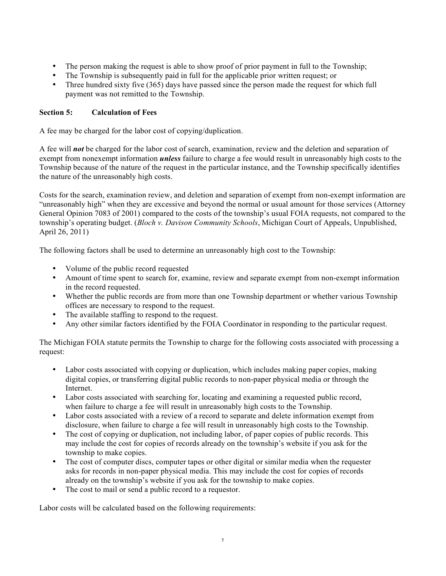- The person making the request is able to show proof of prior payment in full to the Township;
- The Township is subsequently paid in full for the applicable prior written request; or
- Three hundred sixty five (365) days have passed since the person made the request for which full payment was not remitted to the Township.

## **Section 5: Calculation of Fees**

A fee may be charged for the labor cost of copying/duplication.

A fee will *not* be charged for the labor cost of search, examination, review and the deletion and separation of exempt from nonexempt information *unless* failure to charge a fee would result in unreasonably high costs to the Township because of the nature of the request in the particular instance, and the Township specifically identifies the nature of the unreasonably high costs.

Costs for the search, examination review, and deletion and separation of exempt from non-exempt information are "unreasonably high" when they are excessive and beyond the normal or usual amount for those services (Attorney General Opinion 7083 of 2001) compared to the costs of the township's usual FOIA requests, not compared to the township's operating budget. (*Bloch v. Davison Community Schools*, Michigan Court of Appeals, Unpublished, April 26, 2011)

The following factors shall be used to determine an unreasonably high cost to the Township:

- Volume of the public record requested
- Amount of time spent to search for, examine, review and separate exempt from non-exempt information in the record requested.
- Whether the public records are from more than one Township department or whether various Township offices are necessary to respond to the request.
- The available staffing to respond to the request.
- Any other similar factors identified by the FOIA Coordinator in responding to the particular request.

The Michigan FOIA statute permits the Township to charge for the following costs associated with processing a request:

- Labor costs associated with copying or duplication, which includes making paper copies, making digital copies, or transferring digital public records to non-paper physical media or through the Internet.
- Labor costs associated with searching for, locating and examining a requested public record, when failure to charge a fee will result in unreasonably high costs to the Township.
- Labor costs associated with a review of a record to separate and delete information exempt from disclosure, when failure to charge a fee will result in unreasonably high costs to the Township.
- The cost of copying or duplication, not including labor, of paper copies of public records. This may include the cost for copies of records already on the township's website if you ask for the township to make copies.
- The cost of computer discs, computer tapes or other digital or similar media when the requester asks for records in non-paper physical media. This may include the cost for copies of records already on the township's website if you ask for the township to make copies.
- The cost to mail or send a public record to a requestor.

Labor costs will be calculated based on the following requirements: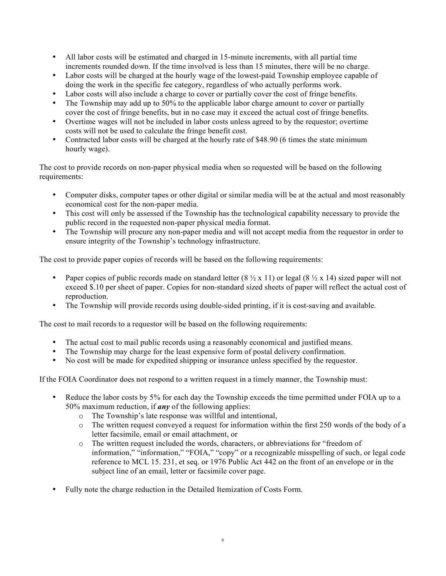- All labor costs will be estimated and charged in 15-minute increments, with all partial time increments rounded down. If the time involved is less than 15 minutes, there will be no charge.
- Labor costs will be charged at the hourly wage of the lowest-paid Township employee capable of doing the work in the specific fee category, regardless of who actually performs work.
- Labor costs will also include a charge to cover or partially cover the cost of fringe benefits.
- The Township may add up to 50% to the applicable labor charge amount to cover or partially cover the cost of fringe benefits, but in no case may it exceed the actual cost of fringe benefits.
- Overtime wages will not be included in labor costs unless agreed to by the requestor; overtime costs will not be used to calculate the fringe benefit cost.
- Contracted labor costs will be charged at the hourly rate of \$48.90 (6 times the state minimum hourly wage).

The cost to provide records on non-paper physical media when so requested will be based on the following requirements:

- Computer disks, computer tapes or other digital or similar media will be at the actual and most reasonably economical cost for the non-paper media.
- This cost will only be assessed if the Township has the technological capability necessary to provide the public record in the requested non-paper physical media format.
- The Township will procure any non-paper media and will not accept media from the requestor in order to ensure integrity of the Township's technology infrastructure.

The cost to provide paper copies of records will be based on the following requirements:

- Paper copies of public records made on standard letter  $(8 \frac{1}{2} \times 11)$  or legal  $(8 \frac{1}{2} \times 14)$  sized paper will not exceed \$.10 per sheet of paper. Copies for non-standard sized sheets of paper will reflect the actual cost of reproduction.
- The Township will provide records using double-sided printing, if it is cost-saving and available.

The cost to mail records to a requestor will be based on the following requirements:

- The actual cost to mail public records using a reasonably economical and justified means.
- The Township may charge for the least expensive form of postal delivery confirmation.
- No cost will be made for expedited shipping or insurance unless specified by the requestor.

If the FOIA Coordinator does not respond to a written request in a timely manner, the Township must:

- Reduce the labor costs by 5% for each day the Township exceeds the time permitted under FOIA up to a 50% maximum reduction, if *any* of the following applies:
	- o The Township's late response was willful and intentional,
	- $\circ$  The written request conveyed a request for information within the first 250 words of the body of a letter facsimile, email or email attachment, or
	- o The written request included the words, characters, or abbreviations for "freedom of information," "information," "FOIA," "copy" or a recognizable misspelling of such, or legal code reference to MCL 15. 231, et seq. or 1976 Public Act 442 on the front of an envelope or in the subject line of an email, letter or facsimile cover page.
- Fully note the charge reduction in the Detailed Itemization of Costs Form.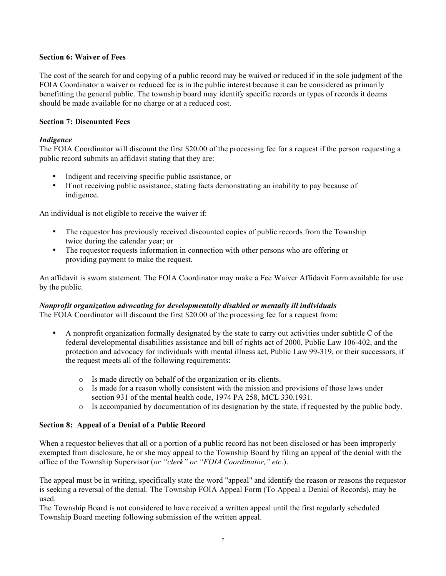### **Section 6: Waiver of Fees**

The cost of the search for and copying of a public record may be waived or reduced if in the sole judgment of the FOIA Coordinator a waiver or reduced fee is in the public interest because it can be considered as primarily benefitting the general public. The township board may identify specific records or types of records it deems should be made available for no charge or at a reduced cost.

## **Section 7: Discounted Fees**

## *Indigence*

The FOIA Coordinator will discount the first \$20.00 of the processing fee for a request if the person requesting a public record submits an affidavit stating that they are:

- Indigent and receiving specific public assistance, or
- If not receiving public assistance, stating facts demonstrating an inability to pay because of indigence.

An individual is not eligible to receive the waiver if:

- The requestor has previously received discounted copies of public records from the Township twice during the calendar year; or
- The requestor requests information in connection with other persons who are offering or providing payment to make the request.

An affidavit is sworn statement. The FOIA Coordinator may make a Fee Waiver Affidavit Form available for use by the public.

#### *Nonprofit organization advocating for developmentally disabled or mentally ill individuals*

The FOIA Coordinator will discount the first \$20.00 of the processing fee for a request from:

- A nonprofit organization formally designated by the state to carry out activities under subtitle C of the federal developmental disabilities assistance and bill of rights act of 2000, Public Law 106-402, and the protection and advocacy for individuals with mental illness act, Public Law 99-319, or their successors, if the request meets all of the following requirements:
	- o Is made directly on behalf of the organization or its clients.
	- o Is made for a reason wholly consistent with the mission and provisions of those laws under section 931 of the mental health code, 1974 PA 258, MCL 330.1931.
	- $\circ$  Is accompanied by documentation of its designation by the state, if requested by the public body.

#### **Section 8: Appeal of a Denial of a Public Record**

When a requestor believes that all or a portion of a public record has not been disclosed or has been improperly exempted from disclosure, he or she may appeal to the Township Board by filing an appeal of the denial with the office of the Township Supervisor (*or "clerk" or "FOIA Coordinator," etc.*).

The appeal must be in writing, specifically state the word "appeal" and identify the reason or reasons the requestor is seeking a reversal of the denial. The Township FOIA Appeal Form (To Appeal a Denial of Records), may be used.

The Township Board is not considered to have received a written appeal until the first regularly scheduled Township Board meeting following submission of the written appeal.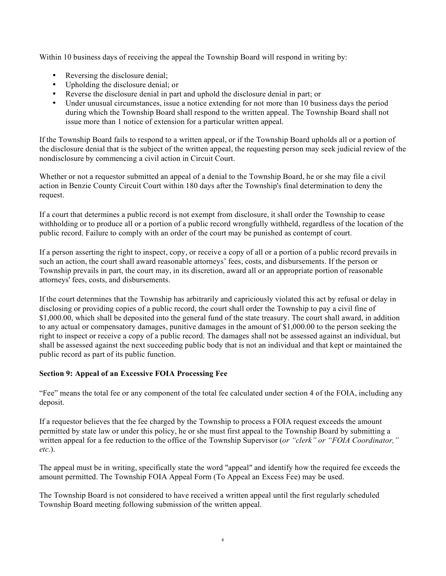Within 10 business days of receiving the appeal the Township Board will respond in writing by:

- Reversing the disclosure denial;
- Upholding the disclosure denial; or
- Reverse the disclosure denial in part and uphold the disclosure denial in part; or
- Under unusual circumstances, issue a notice extending for not more than 10 business days the period during which the Township Board shall respond to the written appeal. The Township Board shall not issue more than 1 notice of extension for a particular written appeal.

If the Township Board fails to respond to a written appeal, or if the Township Board upholds all or a portion of the disclosure denial that is the subject of the written appeal, the requesting person may seek judicial review of the nondisclosure by commencing a civil action in Circuit Court.

Whether or not a requestor submitted an appeal of a denial to the Township Board, he or she may file a civil action in Benzie County Circuit Court within 180 days after the Township's final determination to deny the request.

If a court that determines a public record is not exempt from disclosure, it shall order the Township to cease withholding or to produce all or a portion of a public record wrongfully withheld, regardless of the location of the public record. Failure to comply with an order of the court may be punished as contempt of court.

If a person asserting the right to inspect, copy, or receive a copy of all or a portion of a public record prevails in such an action, the court shall award reasonable attorneys' fees, costs, and disbursements. If the person or Township prevails in part, the court may, in its discretion, award all or an appropriate portion of reasonable attorneys' fees, costs, and disbursements.

If the court determines that the Township has arbitrarily and capriciously violated this act by refusal or delay in disclosing or providing copies of a public record, the court shall order the Township to pay a civil fine of \$1,000.00, which shall be deposited into the general fund of the state treasury. The court shall award, in addition to any actual or compensatory damages, punitive damages in the amount of \$1,000.00 to the person seeking the right to inspect or receive a copy of a public record. The damages shall not be assessed against an individual, but shall be assessed against the next succeeding public body that is not an individual and that kept or maintained the public record as part of its public function.

## **Section 9: Appeal of an Excessive FOIA Processing Fee**

"Fee" means the total fee or any component of the total fee calculated under section 4 of the FOIA, including any deposit.

If a requestor believes that the fee charged by the Township to process a FOIA request exceeds the amount permitted by state law or under this policy, he or she must first appeal to the Township Board by submitting a written appeal for a fee reduction to the office of the Township Supervisor (*or "clerk" or "FOIA Coordinator," etc.*).

The appeal must be in writing, specifically state the word "appeal" and identify how the required fee exceeds the amount permitted. The Township FOIA Appeal Form (To Appeal an Excess Fee) may be used.

The Township Board is not considered to have received a written appeal until the first regularly scheduled Township Board meeting following submission of the written appeal.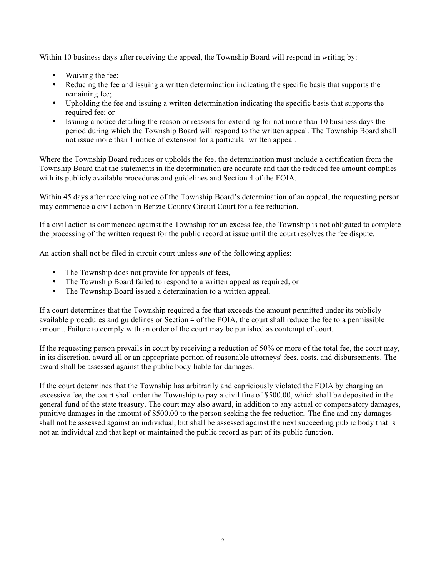Within 10 business days after receiving the appeal, the Township Board will respond in writing by:

- Waiving the fee;
- Reducing the fee and issuing a written determination indicating the specific basis that supports the remaining fee;
- Upholding the fee and issuing a written determination indicating the specific basis that supports the required fee; or
- Issuing a notice detailing the reason or reasons for extending for not more than 10 business days the period during which the Township Board will respond to the written appeal. The Township Board shall not issue more than 1 notice of extension for a particular written appeal.

Where the Township Board reduces or upholds the fee, the determination must include a certification from the Township Board that the statements in the determination are accurate and that the reduced fee amount complies with its publicly available procedures and guidelines and Section 4 of the FOIA.

Within 45 days after receiving notice of the Township Board's determination of an appeal, the requesting person may commence a civil action in Benzie County Circuit Court for a fee reduction.

If a civil action is commenced against the Township for an excess fee, the Township is not obligated to complete the processing of the written request for the public record at issue until the court resolves the fee dispute.

An action shall not be filed in circuit court unless *one* of the following applies:

- The Township does not provide for appeals of fees,
- The Township Board failed to respond to a written appeal as required, or
- The Township Board issued a determination to a written appeal.

If a court determines that the Township required a fee that exceeds the amount permitted under its publicly available procedures and guidelines or Section 4 of the FOIA, the court shall reduce the fee to a permissible amount. Failure to comply with an order of the court may be punished as contempt of court.

If the requesting person prevails in court by receiving a reduction of 50% or more of the total fee, the court may, in its discretion, award all or an appropriate portion of reasonable attorneys' fees, costs, and disbursements. The award shall be assessed against the public body liable for damages.

If the court determines that the Township has arbitrarily and capriciously violated the FOIA by charging an excessive fee, the court shall order the Township to pay a civil fine of \$500.00, which shall be deposited in the general fund of the state treasury. The court may also award, in addition to any actual or compensatory damages, punitive damages in the amount of \$500.00 to the person seeking the fee reduction. The fine and any damages shall not be assessed against an individual, but shall be assessed against the next succeeding public body that is not an individual and that kept or maintained the public record as part of its public function.